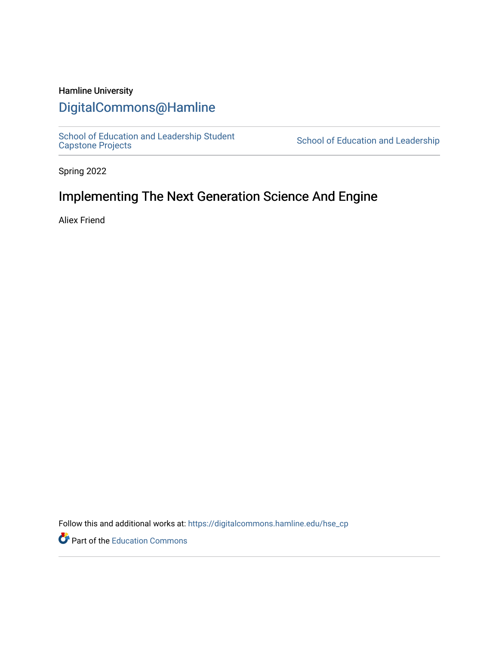### Hamline University

## [DigitalCommons@Hamline](https://digitalcommons.hamline.edu/)

[School of Education and Leadership Student](https://digitalcommons.hamline.edu/hse_cp)<br>Capstone Projects

School of Education and Leadership

Spring 2022

# Implementing The Next Generation Science And Engine

Aliex Friend

Follow this and additional works at: [https://digitalcommons.hamline.edu/hse\\_cp](https://digitalcommons.hamline.edu/hse_cp?utm_source=digitalcommons.hamline.edu%2Fhse_cp%2F806&utm_medium=PDF&utm_campaign=PDFCoverPages) 

Part of the [Education Commons](https://network.bepress.com/hgg/discipline/784?utm_source=digitalcommons.hamline.edu%2Fhse_cp%2F806&utm_medium=PDF&utm_campaign=PDFCoverPages)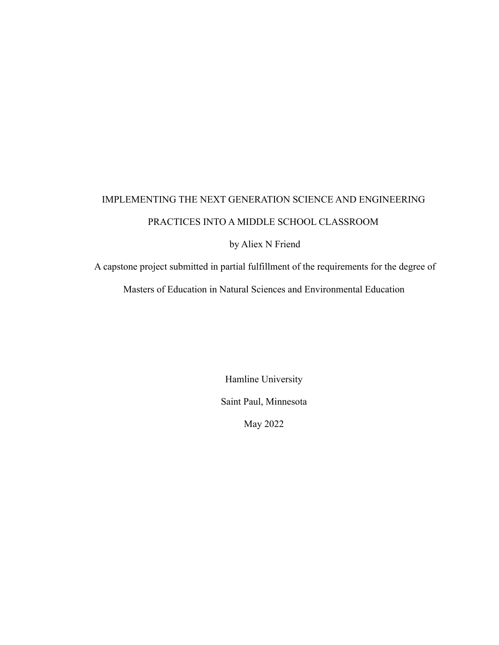# IMPLEMENTING THE NEXT GENERATION SCIENCE AND ENGINEERING PRACTICES INTO A MIDDLE SCHOOL CLASSROOM

by Aliex N Friend

A capstone project submitted in partial fulfillment of the requirements for the degree of

Masters of Education in Natural Sciences and Environmental Education

Hamline University Saint Paul, Minnesota May 2022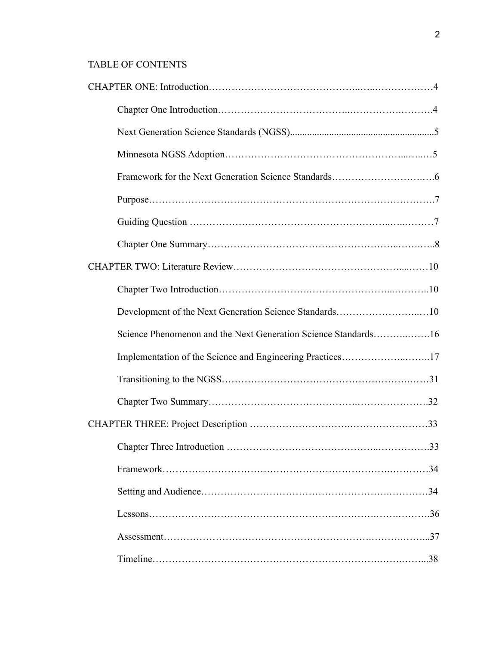## TABLE OF CONTENTS

| Development of the Next Generation Science Standards10         |
|----------------------------------------------------------------|
|                                                                |
| Science Phenomenon and the Next Generation Science Standards16 |
| Implementation of the Science and Engineering Practices17      |
|                                                                |
|                                                                |
|                                                                |
| .33                                                            |
|                                                                |
|                                                                |
|                                                                |
|                                                                |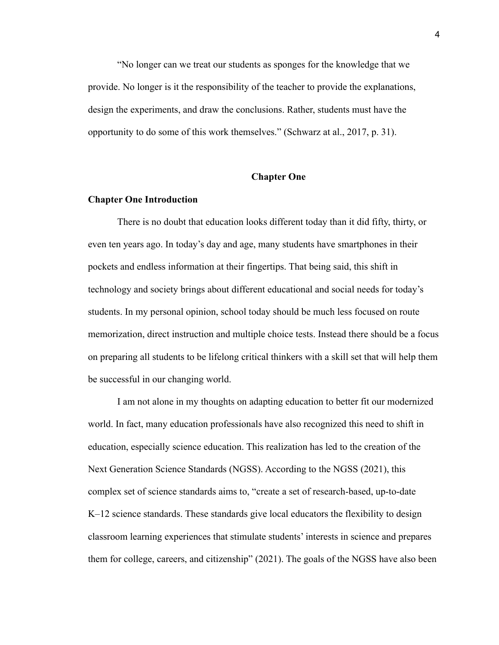"No longer can we treat our students as sponges for the knowledge that we provide. No longer is it the responsibility of the teacher to provide the explanations, design the experiments, and draw the conclusions. Rather, students must have the opportunity to do some of this work themselves." (Schwarz at al., 2017, p. 31).

#### **Chapter One**

#### **Chapter One Introduction**

There is no doubt that education looks different today than it did fifty, thirty, or even ten years ago. In today's day and age, many students have smartphones in their pockets and endless information at their fingertips. That being said, this shift in technology and society brings about different educational and social needs for today's students. In my personal opinion, school today should be much less focused on route memorization, direct instruction and multiple choice tests. Instead there should be a focus on preparing all students to be lifelong critical thinkers with a skill set that will help them be successful in our changing world.

I am not alone in my thoughts on adapting education to better fit our modernized world. In fact, many education professionals have also recognized this need to shift in education, especially science education. This realization has led to the creation of the Next Generation Science Standards (NGSS). According to the NGSS (2021), this complex set of science standards aims to, "create a set of research-based, up-to-date K–12 science standards. These standards give local educators the flexibility to design classroom learning experiences that stimulate students' interests in science and prepares them for college, careers, and citizenship" (2021). The goals of the NGSS have also been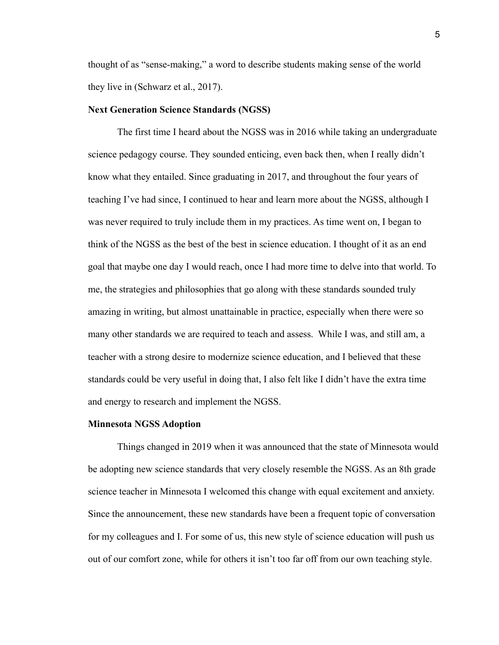thought of as "sense-making," a word to describe students making sense of the world they live in (Schwarz et al., 2017).

#### **Next Generation Science Standards (NGSS)**

The first time I heard about the NGSS was in 2016 while taking an undergraduate science pedagogy course. They sounded enticing, even back then, when I really didn't know what they entailed. Since graduating in 2017, and throughout the four years of teaching I've had since, I continued to hear and learn more about the NGSS, although I was never required to truly include them in my practices. As time went on, I began to think of the NGSS as the best of the best in science education. I thought of it as an end goal that maybe one day I would reach, once I had more time to delve into that world. To me, the strategies and philosophies that go along with these standards sounded truly amazing in writing, but almost unattainable in practice, especially when there were so many other standards we are required to teach and assess. While I was, and still am, a teacher with a strong desire to modernize science education, and I believed that these standards could be very useful in doing that, I also felt like I didn't have the extra time and energy to research and implement the NGSS.

#### **Minnesota NGSS Adoption**

Things changed in 2019 when it was announced that the state of Minnesota would be adopting new science standards that very closely resemble the NGSS. As an 8th grade science teacher in Minnesota I welcomed this change with equal excitement and anxiety. Since the announcement, these new standards have been a frequent topic of conversation for my colleagues and I. For some of us, this new style of science education will push us out of our comfort zone, while for others it isn't too far off from our own teaching style.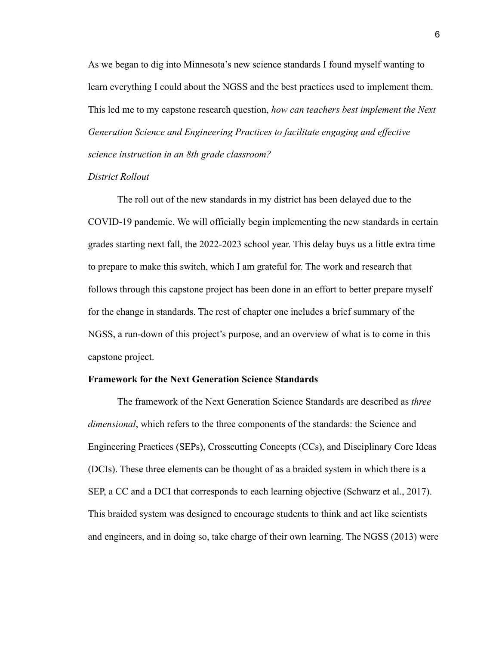As we began to dig into Minnesota's new science standards I found myself wanting to learn everything I could about the NGSS and the best practices used to implement them. This led me to my capstone research question, *how can teachers best implement the Next Generation Science and Engineering Practices to facilitate engaging and effective science instruction in an 8th grade classroom?*

#### *District Rollout*

The roll out of the new standards in my district has been delayed due to the COVID-19 pandemic. We will officially begin implementing the new standards in certain grades starting next fall, the 2022-2023 school year. This delay buys us a little extra time to prepare to make this switch, which I am grateful for. The work and research that follows through this capstone project has been done in an effort to better prepare myself for the change in standards. The rest of chapter one includes a brief summary of the NGSS, a run-down of this project's purpose, and an overview of what is to come in this capstone project.

#### **Framework for the Next Generation Science Standards**

The framework of the Next Generation Science Standards are described as *three dimensional*, which refers to the three components of the standards: the Science and Engineering Practices (SEPs), Crosscutting Concepts (CCs), and Disciplinary Core Ideas (DCIs). These three elements can be thought of as a braided system in which there is a SEP, a CC and a DCI that corresponds to each learning objective (Schwarz et al., 2017). This braided system was designed to encourage students to think and act like scientists and engineers, and in doing so, take charge of their own learning. The NGSS (2013) were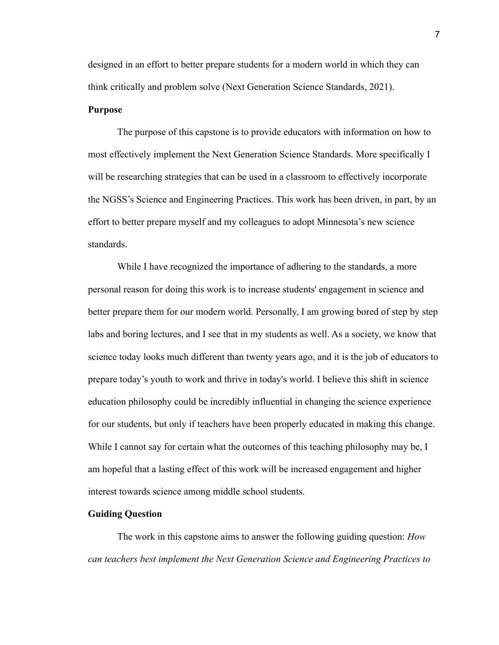designed in an effort to better prepare students for a modern world in which they can think critically and problem solve (Next Generation Science Standards, 2021).

#### **Purpose**

The purpose of this capstone is to provide educators with information on how to most effectively implement the Next Generation Science Standards. More specifically I will be researching strategies that can be used in a classroom to effectively incorporate the NGSS's Science and Engineering Practices. This work has been driven, in part, by an effort to better prepare myself and my colleagues to adopt Minnesota's new science standards.

While I have recognized the importance of adhering to the standards, a more personal reason for doing this work is to increase students' engagement in science and better prepare them for our modern world. Personally, I am growing bored of step by step labs and boring lectures, and I see that in my students as well. As a society, we know that science today looks much different than twenty years ago, and it is the job of educators to prepare today's youth to work and thrive in today's world. I believe this shift in science education philosophy could be incredibly influential in changing the science experience for our students, but only if teachers have been properly educated in making this change. While I cannot say for certain what the outcomes of this teaching philosophy may be, I am hopeful that a lasting effect of this work will be increased engagement and higher interest towards science among middle school students.

#### **Guiding Question**

The work in this capstone aims to answer the following guiding question: *How can teachers best implement the Next Generation Science and Engineering Practices to*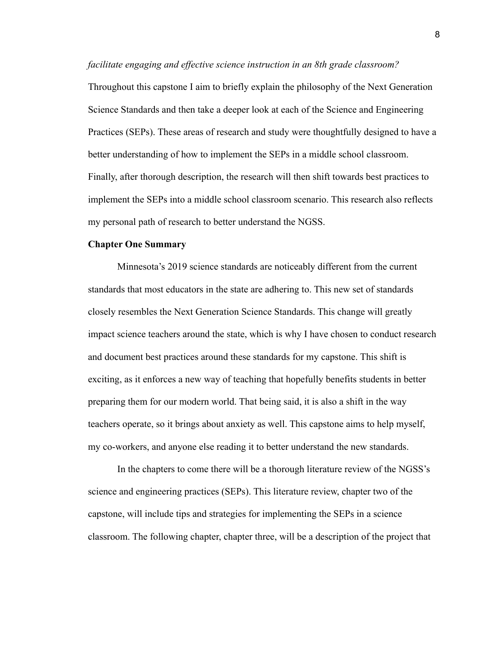*facilitate engaging and effective science instruction in an 8th grade classroom?*

Throughout this capstone I aim to briefly explain the philosophy of the Next Generation Science Standards and then take a deeper look at each of the Science and Engineering Practices (SEPs). These areas of research and study were thoughtfully designed to have a better understanding of how to implement the SEPs in a middle school classroom. Finally, after thorough description, the research will then shift towards best practices to implement the SEPs into a middle school classroom scenario. This research also reflects my personal path of research to better understand the NGSS.

#### **Chapter One Summary**

Minnesota's 2019 science standards are noticeably different from the current standards that most educators in the state are adhering to. This new set of standards closely resembles the Next Generation Science Standards. This change will greatly impact science teachers around the state, which is why I have chosen to conduct research and document best practices around these standards for my capstone. This shift is exciting, as it enforces a new way of teaching that hopefully benefits students in better preparing them for our modern world. That being said, it is also a shift in the way teachers operate, so it brings about anxiety as well. This capstone aims to help myself, my co-workers, and anyone else reading it to better understand the new standards.

In the chapters to come there will be a thorough literature review of the NGSS's science and engineering practices (SEPs). This literature review, chapter two of the capstone, will include tips and strategies for implementing the SEPs in a science classroom. The following chapter, chapter three, will be a description of the project that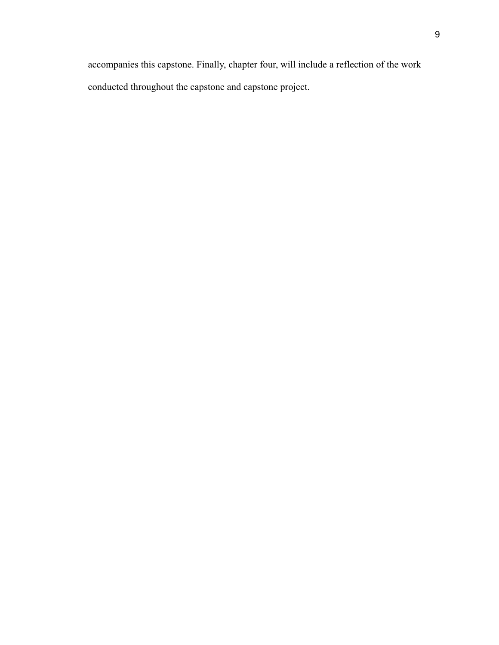accompanies this capstone. Finally, chapter four, will include a reflection of the work conducted throughout the capstone and capstone project.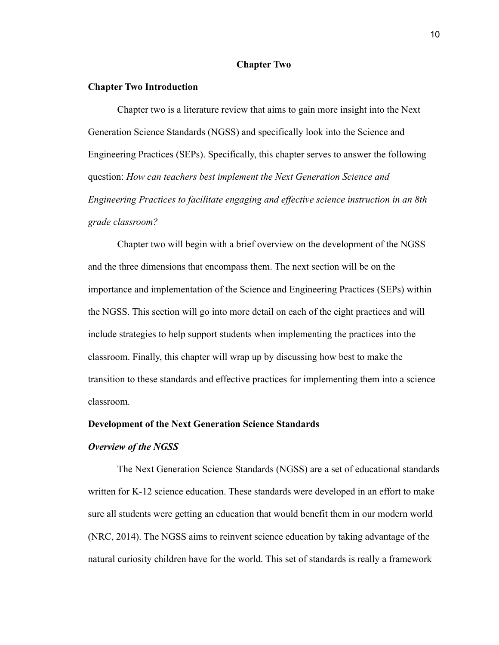#### **Chapter Two**

#### **Chapter Two Introduction**

Chapter two is a literature review that aims to gain more insight into the Next Generation Science Standards (NGSS) and specifically look into the Science and Engineering Practices (SEPs). Specifically, this chapter serves to answer the following question: *How can teachers best implement the Next Generation Science and Engineering Practices to facilitate engaging and effective science instruction in an 8th grade classroom?*

Chapter two will begin with a brief overview on the development of the NGSS and the three dimensions that encompass them. The next section will be on the importance and implementation of the Science and Engineering Practices (SEPs) within the NGSS. This section will go into more detail on each of the eight practices and will include strategies to help support students when implementing the practices into the classroom. Finally, this chapter will wrap up by discussing how best to make the transition to these standards and effective practices for implementing them into a science classroom.

#### **Development of the Next Generation Science Standards**

#### *Overview of the NGSS*

The Next Generation Science Standards (NGSS) are a set of educational standards written for K-12 science education. These standards were developed in an effort to make sure all students were getting an education that would benefit them in our modern world (NRC, 2014). The NGSS aims to reinvent science education by taking advantage of the natural curiosity children have for the world. This set of standards is really a framework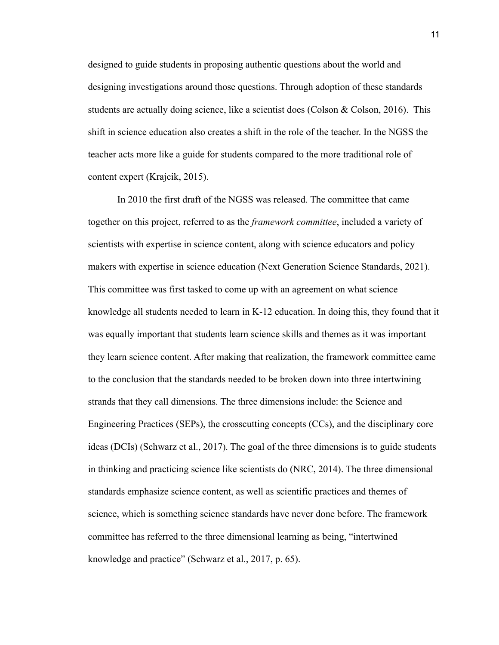designed to guide students in proposing authentic questions about the world and designing investigations around those questions. Through adoption of these standards students are actually doing science, like a scientist does (Colson & Colson, 2016). This shift in science education also creates a shift in the role of the teacher. In the NGSS the teacher acts more like a guide for students compared to the more traditional role of content expert (Krajcik, 2015).

In 2010 the first draft of the NGSS was released. The committee that came together on this project, referred to as the *framework committee*, included a variety of scientists with expertise in science content, along with science educators and policy makers with expertise in science education (Next Generation Science Standards, 2021). This committee was first tasked to come up with an agreement on what science knowledge all students needed to learn in K-12 education. In doing this, they found that it was equally important that students learn science skills and themes as it was important they learn science content. After making that realization, the framework committee came to the conclusion that the standards needed to be broken down into three intertwining strands that they call dimensions. The three dimensions include: the Science and Engineering Practices (SEPs), the crosscutting concepts (CCs), and the disciplinary core ideas (DCIs) (Schwarz et al., 2017). The goal of the three dimensions is to guide students in thinking and practicing science like scientists do (NRC, 2014). The three dimensional standards emphasize science content, as well as scientific practices and themes of science, which is something science standards have never done before. The framework committee has referred to the three dimensional learning as being, "intertwined knowledge and practice" (Schwarz et al., 2017, p. 65).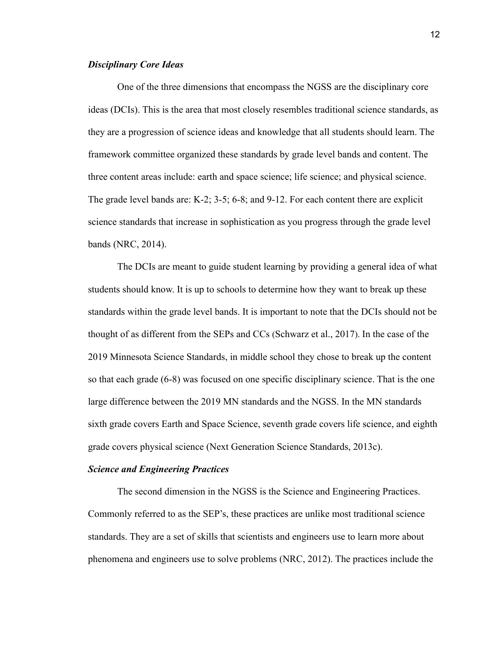#### *Disciplinary Core Ideas*

One of the three dimensions that encompass the NGSS are the disciplinary core ideas (DCIs). This is the area that most closely resembles traditional science standards, as they are a progression of science ideas and knowledge that all students should learn. The framework committee organized these standards by grade level bands and content. The three content areas include: earth and space science; life science; and physical science. The grade level bands are: K-2; 3-5; 6-8; and 9-12. For each content there are explicit science standards that increase in sophistication as you progress through the grade level bands (NRC, 2014).

The DCIs are meant to guide student learning by providing a general idea of what students should know. It is up to schools to determine how they want to break up these standards within the grade level bands. It is important to note that the DCIs should not be thought of as different from the SEPs and CCs (Schwarz et al., 2017). In the case of the 2019 Minnesota Science Standards, in middle school they chose to break up the content so that each grade (6-8) was focused on one specific disciplinary science. That is the one large difference between the 2019 MN standards and the NGSS. In the MN standards sixth grade covers Earth and Space Science, seventh grade covers life science, and eighth grade covers physical science (Next Generation Science Standards, 2013c).

#### *Science and Engineering Practices*

The second dimension in the NGSS is the Science and Engineering Practices. Commonly referred to as the SEP's, these practices are unlike most traditional science standards. They are a set of skills that scientists and engineers use to learn more about phenomena and engineers use to solve problems (NRC, 2012). The practices include the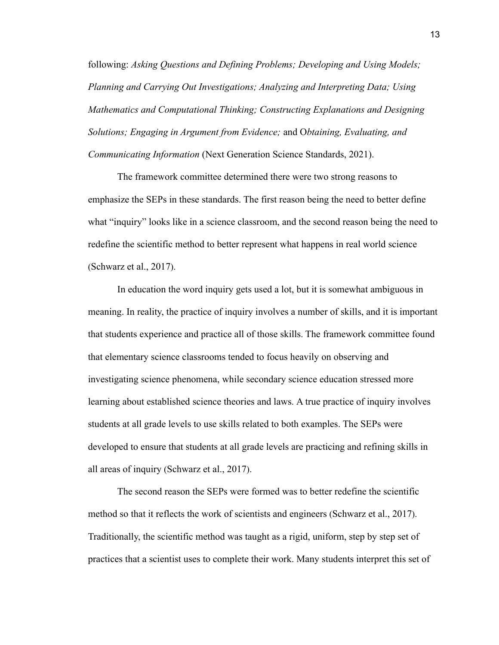following: *Asking Questions and Defining Problems; Developing and Using Models; Planning and Carrying Out Investigations; Analyzing and Interpreting Data; Using Mathematics and Computational Thinking; Constructing Explanations and Designing Solutions; Engaging in Argument from Evidence;* and O*btaining, Evaluating, and Communicating Information* (Next Generation Science Standards, 2021).

The framework committee determined there were two strong reasons to emphasize the SEPs in these standards. The first reason being the need to better define what "inquiry" looks like in a science classroom, and the second reason being the need to redefine the scientific method to better represent what happens in real world science (Schwarz et al., 2017).

In education the word inquiry gets used a lot, but it is somewhat ambiguous in meaning. In reality, the practice of inquiry involves a number of skills, and it is important that students experience and practice all of those skills. The framework committee found that elementary science classrooms tended to focus heavily on observing and investigating science phenomena, while secondary science education stressed more learning about established science theories and laws. A true practice of inquiry involves students at all grade levels to use skills related to both examples. The SEPs were developed to ensure that students at all grade levels are practicing and refining skills in all areas of inquiry (Schwarz et al., 2017).

The second reason the SEPs were formed was to better redefine the scientific method so that it reflects the work of scientists and engineers (Schwarz et al., 2017). Traditionally, the scientific method was taught as a rigid, uniform, step by step set of practices that a scientist uses to complete their work. Many students interpret this set of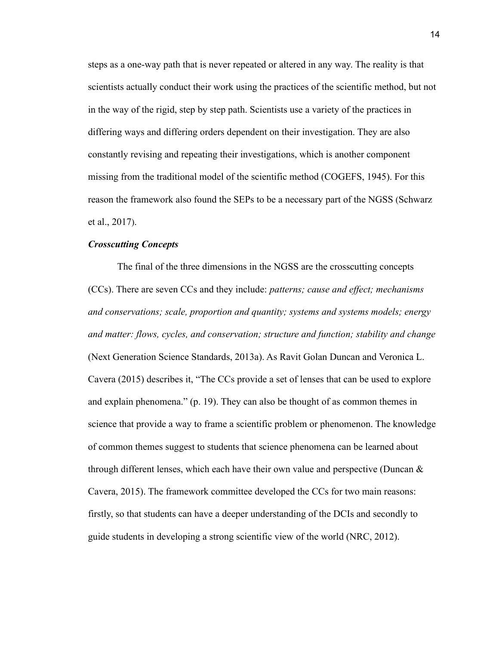steps as a one-way path that is never repeated or altered in any way. The reality is that scientists actually conduct their work using the practices of the scientific method, but not in the way of the rigid, step by step path. Scientists use a variety of the practices in differing ways and differing orders dependent on their investigation. They are also constantly revising and repeating their investigations, which is another component missing from the traditional model of the scientific method (COGEFS, 1945). For this reason the framework also found the SEPs to be a necessary part of the NGSS (Schwarz et al., 2017).

#### *Crosscutting Concepts*

The final of the three dimensions in the NGSS are the crosscutting concepts (CCs). There are seven CCs and they include: *patterns; cause and effect; mechanisms and conservations; scale, proportion and quantity; systems and systems models; energy and matter: flows, cycles, and conservation; structure and function; stability and change* (Next Generation Science Standards, 2013a). As Ravit Golan Duncan and Veronica L. Cavera (2015) describes it, "The CCs provide a set of lenses that can be used to explore and explain phenomena." (p. 19). They can also be thought of as common themes in science that provide a way to frame a scientific problem or phenomenon. The knowledge of common themes suggest to students that science phenomena can be learned about through different lenses, which each have their own value and perspective (Duncan  $\&$ Cavera, 2015). The framework committee developed the CCs for two main reasons: firstly, so that students can have a deeper understanding of the DCIs and secondly to guide students in developing a strong scientific view of the world (NRC, 2012).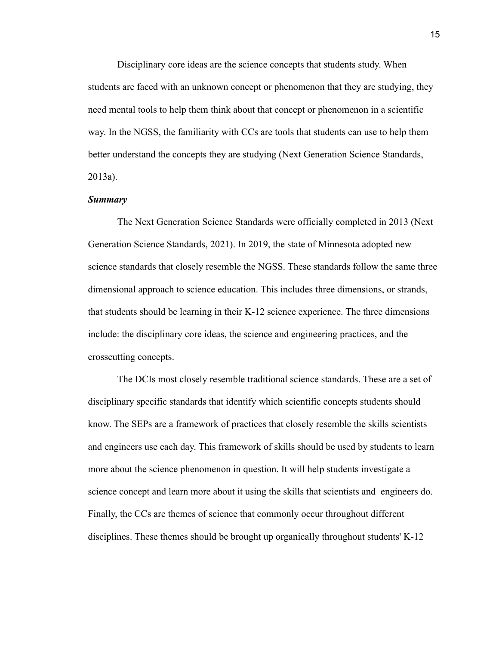Disciplinary core ideas are the science concepts that students study. When students are faced with an unknown concept or phenomenon that they are studying, they need mental tools to help them think about that concept or phenomenon in a scientific way. In the NGSS, the familiarity with CCs are tools that students can use to help them better understand the concepts they are studying (Next Generation Science Standards, 2013a).

#### *Summary*

The Next Generation Science Standards were officially completed in 2013 (Next Generation Science Standards, 2021). In 2019, the state of Minnesota adopted new science standards that closely resemble the NGSS. These standards follow the same three dimensional approach to science education. This includes three dimensions, or strands, that students should be learning in their K-12 science experience. The three dimensions include: the disciplinary core ideas, the science and engineering practices, and the crosscutting concepts.

The DCIs most closely resemble traditional science standards. These are a set of disciplinary specific standards that identify which scientific concepts students should know. The SEPs are a framework of practices that closely resemble the skills scientists and engineers use each day. This framework of skills should be used by students to learn more about the science phenomenon in question. It will help students investigate a science concept and learn more about it using the skills that scientists and engineers do. Finally, the CCs are themes of science that commonly occur throughout different disciplines. These themes should be brought up organically throughout students' K-12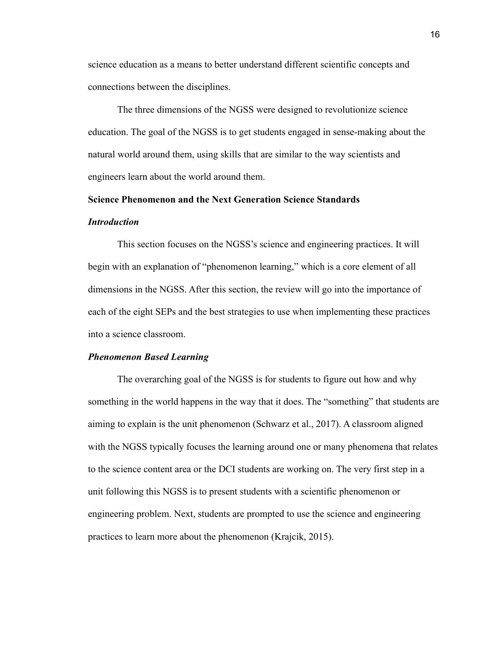science education as a means to better understand different scientific concepts and connections between the disciplines.

The three dimensions of the NGSS were designed to revolutionize science education. The goal of the NGSS is to get students engaged in sense-making about the natural world around them, using skills that are similar to the way scientists and engineers learn about the world around them.

#### **Science Phenomenon and the Next Generation Science Standards**

#### *Introduction*

This section focuses on the NGSS's science and engineering practices. It will begin with an explanation of "phenomenon learning," which is a core element of all dimensions in the NGSS. After this section, the review will go into the importance of each of the eight SEPs and the best strategies to use when implementing these practices into a science classroom.

#### *Phenomenon Based Learning*

The overarching goal of the NGSS is for students to figure out how and why something in the world happens in the way that it does. The "something" that students are aiming to explain is the unit phenomenon (Schwarz et al., 2017). A classroom aligned with the NGSS typically focuses the learning around one or many phenomena that relates to the science content area or the DCI students are working on. The very first step in a unit following this NGSS is to present students with a scientific phenomenon or engineering problem. Next, students are prompted to use the science and engineering practices to learn more about the phenomenon (Krajcik, 2015).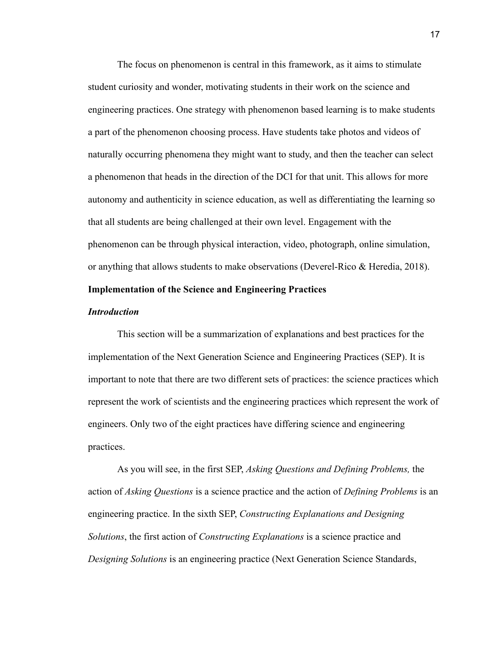The focus on phenomenon is central in this framework, as it aims to stimulate student curiosity and wonder, motivating students in their work on the science and engineering practices. One strategy with phenomenon based learning is to make students a part of the phenomenon choosing process. Have students take photos and videos of naturally occurring phenomena they might want to study, and then the teacher can select a phenomenon that heads in the direction of the DCI for that unit. This allows for more autonomy and authenticity in science education, as well as differentiating the learning so that all students are being challenged at their own level. Engagement with the phenomenon can be through physical interaction, video, photograph, online simulation, or anything that allows students to make observations (Deverel-Rico & Heredia, 2018).

#### **Implementation of the Science and Engineering Practices**

#### *Introduction*

This section will be a summarization of explanations and best practices for the implementation of the Next Generation Science and Engineering Practices (SEP). It is important to note that there are two different sets of practices: the science practices which represent the work of scientists and the engineering practices which represent the work of engineers. Only two of the eight practices have differing science and engineering practices.

As you will see, in the first SEP, *Asking Questions and Defining Problems,* the action of *Asking Questions* is a science practice and the action of *Defining Problems* is an engineering practice. In the sixth SEP, *Constructing Explanations and Designing Solutions*, the first action of *Constructing Explanations* is a science practice and *Designing Solutions* is an engineering practice (Next Generation Science Standards,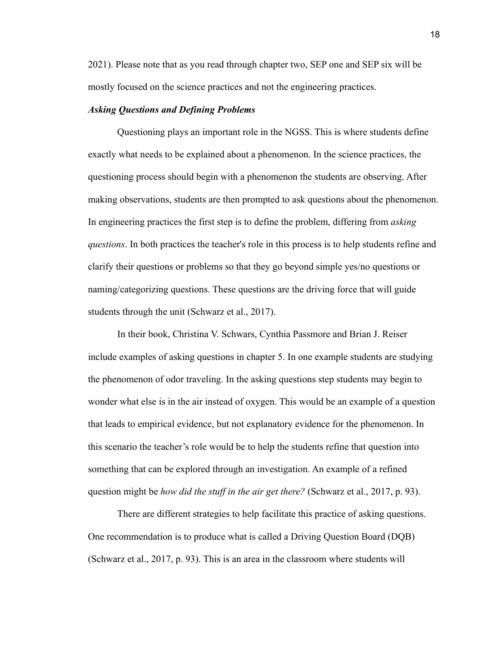2021). Please note that as you read through chapter two, SEP one and SEP six will be mostly focused on the science practices and not the engineering practices.

#### *Asking Questions and Defining Problems*

Questioning plays an important role in the NGSS. This is where students define exactly what needs to be explained about a phenomenon. In the science practices, the questioning process should begin with a phenomenon the students are observing. After making observations, students are then prompted to ask questions about the phenomenon. In engineering practices the first step is to define the problem, differing from *asking questions*. In both practices the teacher's role in this process is to help students refine and clarify their questions or problems so that they go beyond simple yes/no questions or naming/categorizing questions. These questions are the driving force that will guide students through the unit (Schwarz et al., 2017).

In their book, Christina V. Schwars, Cynthia Passmore and Brian J. Reiser include examples of asking questions in chapter 5. In one example students are studying the phenomenon of odor traveling. In the asking questions step students may begin to wonder what else is in the air instead of oxygen. This would be an example of a question that leads to empirical evidence, but not explanatory evidence for the phenomenon. In this scenario the teacher's role would be to help the students refine that question into something that can be explored through an investigation. An example of a refined question might be *how did the stuff in the air get there?* (Schwarz et al., 2017, p. 93).

There are different strategies to help facilitate this practice of asking questions. One recommendation is to produce what is called a Driving Question Board (DQB) (Schwarz et al., 2017, p. 93). This is an area in the classroom where students will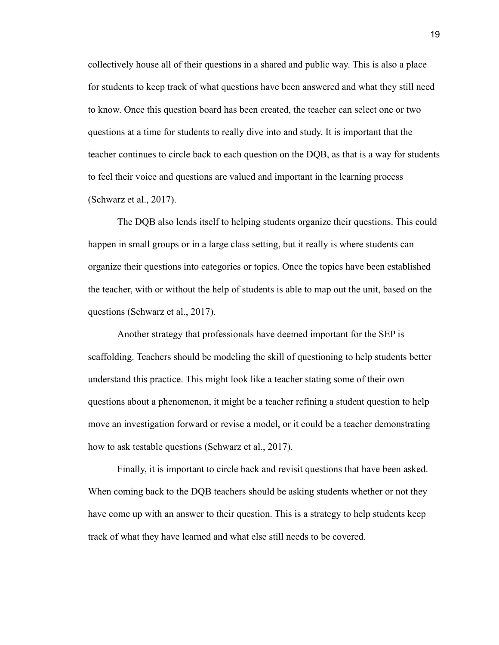collectively house all of their questions in a shared and public way. This is also a place for students to keep track of what questions have been answered and what they still need to know. Once this question board has been created, the teacher can select one or two questions at a time for students to really dive into and study. It is important that the teacher continues to circle back to each question on the DQB, as that is a way for students to feel their voice and questions are valued and important in the learning process (Schwarz et al., 2017).

The DQB also lends itself to helping students organize their questions. This could happen in small groups or in a large class setting, but it really is where students can organize their questions into categories or topics. Once the topics have been established the teacher, with or without the help of students is able to map out the unit, based on the questions (Schwarz et al., 2017).

Another strategy that professionals have deemed important for the SEP is scaffolding. Teachers should be modeling the skill of questioning to help students better understand this practice. This might look like a teacher stating some of their own questions about a phenomenon, it might be a teacher refining a student question to help move an investigation forward or revise a model, or it could be a teacher demonstrating how to ask testable questions (Schwarz et al., 2017).

Finally, it is important to circle back and revisit questions that have been asked. When coming back to the DQB teachers should be asking students whether or not they have come up with an answer to their question. This is a strategy to help students keep track of what they have learned and what else still needs to be covered.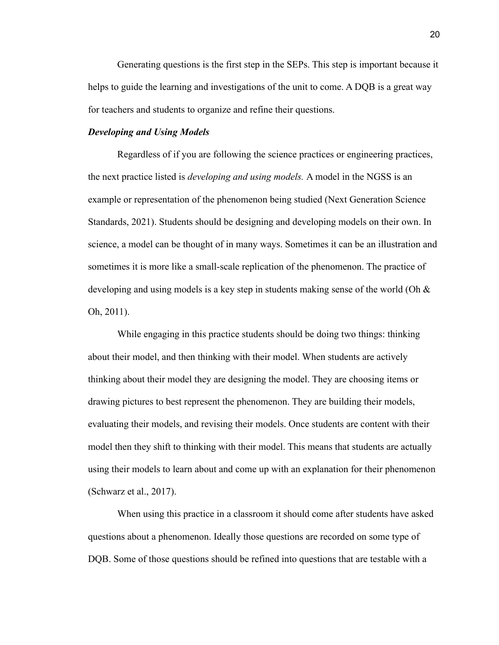Generating questions is the first step in the SEPs. This step is important because it helps to guide the learning and investigations of the unit to come. A DQB is a great way for teachers and students to organize and refine their questions.

#### *Developing and Using Models*

Regardless of if you are following the science practices or engineering practices, the next practice listed is *developing and using models.* A model in the NGSS is an example or representation of the phenomenon being studied (Next Generation Science Standards, 2021). Students should be designing and developing models on their own. In science, a model can be thought of in many ways. Sometimes it can be an illustration and sometimes it is more like a small-scale replication of the phenomenon. The practice of developing and using models is a key step in students making sense of the world (Oh & Oh, 2011).

While engaging in this practice students should be doing two things: thinking about their model, and then thinking with their model. When students are actively thinking about their model they are designing the model. They are choosing items or drawing pictures to best represent the phenomenon. They are building their models, evaluating their models, and revising their models. Once students are content with their model then they shift to thinking with their model. This means that students are actually using their models to learn about and come up with an explanation for their phenomenon (Schwarz et al., 2017).

When using this practice in a classroom it should come after students have asked questions about a phenomenon. Ideally those questions are recorded on some type of DQB. Some of those questions should be refined into questions that are testable with a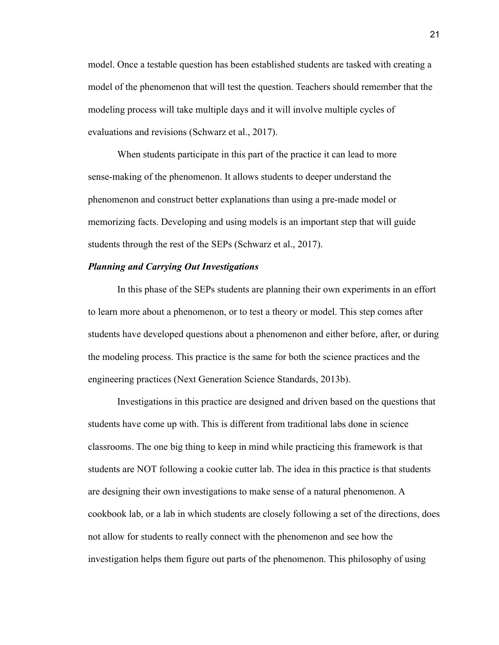model. Once a testable question has been established students are tasked with creating a model of the phenomenon that will test the question. Teachers should remember that the modeling process will take multiple days and it will involve multiple cycles of evaluations and revisions (Schwarz et al., 2017).

When students participate in this part of the practice it can lead to more sense-making of the phenomenon. It allows students to deeper understand the phenomenon and construct better explanations than using a pre-made model or memorizing facts. Developing and using models is an important step that will guide students through the rest of the SEPs (Schwarz et al., 2017).

#### *Planning and Carrying Out Investigations*

In this phase of the SEPs students are planning their own experiments in an effort to learn more about a phenomenon, or to test a theory or model. This step comes after students have developed questions about a phenomenon and either before, after, or during the modeling process. This practice is the same for both the science practices and the engineering practices (Next Generation Science Standards, 2013b).

Investigations in this practice are designed and driven based on the questions that students have come up with. This is different from traditional labs done in science classrooms. The one big thing to keep in mind while practicing this framework is that students are NOT following a cookie cutter lab. The idea in this practice is that students are designing their own investigations to make sense of a natural phenomenon. A cookbook lab, or a lab in which students are closely following a set of the directions, does not allow for students to really connect with the phenomenon and see how the investigation helps them figure out parts of the phenomenon. This philosophy of using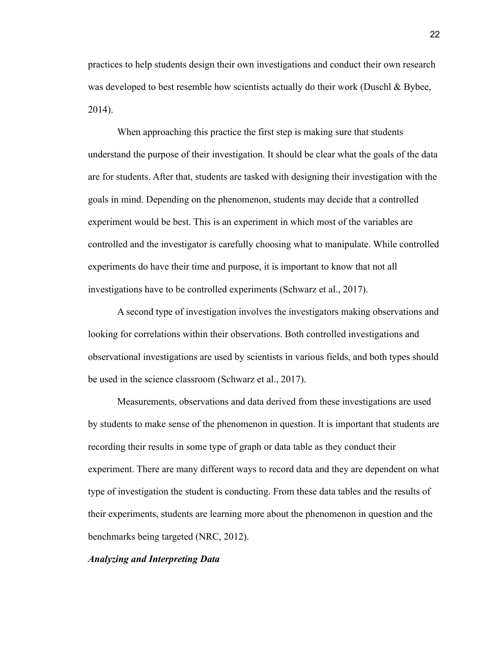practices to help students design their own investigations and conduct their own research was developed to best resemble how scientists actually do their work (Duschl & Bybee, 2014).

When approaching this practice the first step is making sure that students understand the purpose of their investigation. It should be clear what the goals of the data are for students. After that, students are tasked with designing their investigation with the goals in mind. Depending on the phenomenon, students may decide that a controlled experiment would be best. This is an experiment in which most of the variables are controlled and the investigator is carefully choosing what to manipulate. While controlled experiments do have their time and purpose, it is important to know that not all investigations have to be controlled experiments (Schwarz et al., 2017).

A second type of investigation involves the investigators making observations and looking for correlations within their observations. Both controlled investigations and observational investigations are used by scientists in various fields, and both types should be used in the science classroom (Schwarz et al., 2017).

Measurements, observations and data derived from these investigations are used by students to make sense of the phenomenon in question. It is important that students are recording their results in some type of graph or data table as they conduct their experiment. There are many different ways to record data and they are dependent on what type of investigation the student is conducting. From these data tables and the results of their experiments, students are learning more about the phenomenon in question and the benchmarks being targeted (NRC, 2012).

#### *Analyzing and Interpreting Data*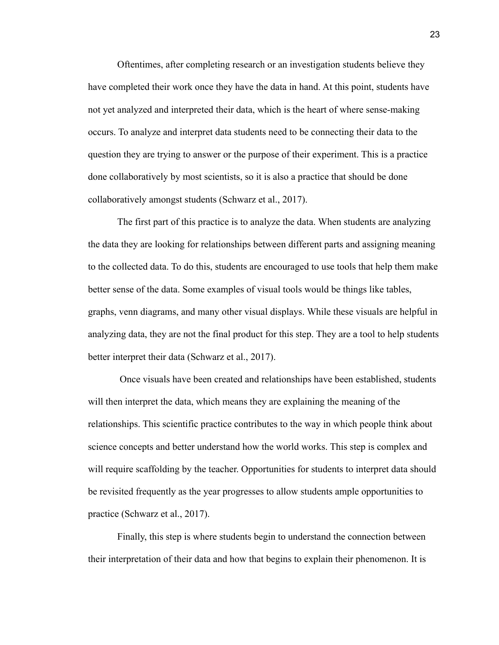Oftentimes, after completing research or an investigation students believe they have completed their work once they have the data in hand. At this point, students have not yet analyzed and interpreted their data, which is the heart of where sense-making occurs. To analyze and interpret data students need to be connecting their data to the question they are trying to answer or the purpose of their experiment. This is a practice done collaboratively by most scientists, so it is also a practice that should be done collaboratively amongst students (Schwarz et al., 2017).

The first part of this practice is to analyze the data. When students are analyzing the data they are looking for relationships between different parts and assigning meaning to the collected data. To do this, students are encouraged to use tools that help them make better sense of the data. Some examples of visual tools would be things like tables, graphs, venn diagrams, and many other visual displays. While these visuals are helpful in analyzing data, they are not the final product for this step. They are a tool to help students better interpret their data (Schwarz et al., 2017).

Once visuals have been created and relationships have been established, students will then interpret the data, which means they are explaining the meaning of the relationships. This scientific practice contributes to the way in which people think about science concepts and better understand how the world works. This step is complex and will require scaffolding by the teacher. Opportunities for students to interpret data should be revisited frequently as the year progresses to allow students ample opportunities to practice (Schwarz et al., 2017).

Finally, this step is where students begin to understand the connection between their interpretation of their data and how that begins to explain their phenomenon. It is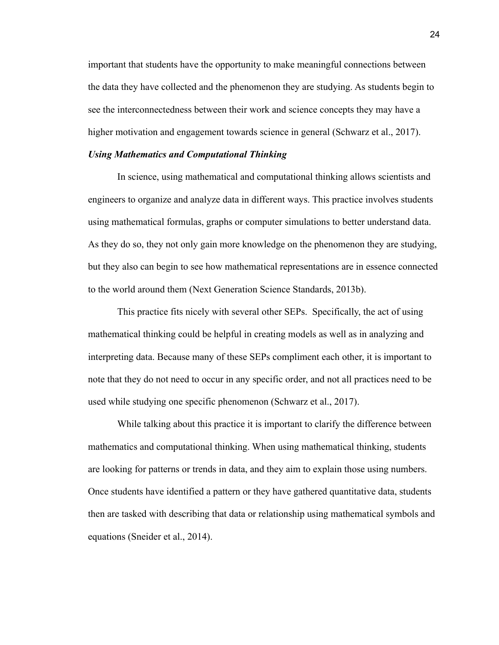important that students have the opportunity to make meaningful connections between the data they have collected and the phenomenon they are studying. As students begin to see the interconnectedness between their work and science concepts they may have a higher motivation and engagement towards science in general (Schwarz et al., 2017).

#### *Using Mathematics and Computational Thinking*

In science, using mathematical and computational thinking allows scientists and engineers to organize and analyze data in different ways. This practice involves students using mathematical formulas, graphs or computer simulations to better understand data. As they do so, they not only gain more knowledge on the phenomenon they are studying, but they also can begin to see how mathematical representations are in essence connected to the world around them (Next Generation Science Standards, 2013b).

This practice fits nicely with several other SEPs. Specifically, the act of using mathematical thinking could be helpful in creating models as well as in analyzing and interpreting data. Because many of these SEPs compliment each other, it is important to note that they do not need to occur in any specific order, and not all practices need to be used while studying one specific phenomenon (Schwarz et al., 2017).

While talking about this practice it is important to clarify the difference between mathematics and computational thinking. When using mathematical thinking, students are looking for patterns or trends in data, and they aim to explain those using numbers. Once students have identified a pattern or they have gathered quantitative data, students then are tasked with describing that data or relationship using mathematical symbols and equations (Sneider et al., 2014).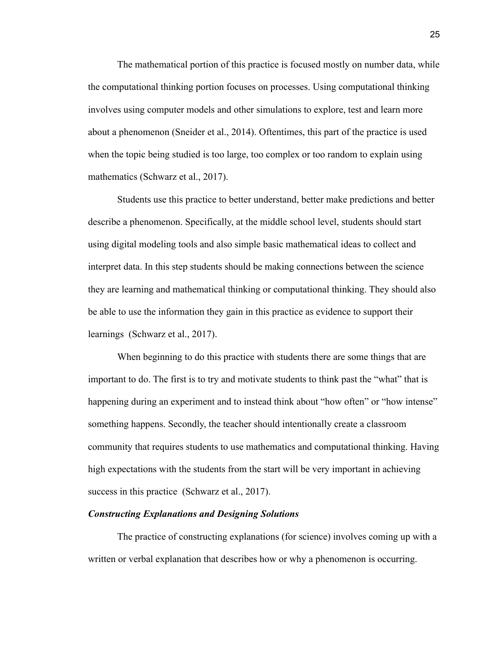The mathematical portion of this practice is focused mostly on number data, while the computational thinking portion focuses on processes. Using computational thinking involves using computer models and other simulations to explore, test and learn more about a phenomenon (Sneider et al., 2014). Oftentimes, this part of the practice is used when the topic being studied is too large, too complex or too random to explain using mathematics (Schwarz et al., 2017).

Students use this practice to better understand, better make predictions and better describe a phenomenon. Specifically, at the middle school level, students should start using digital modeling tools and also simple basic mathematical ideas to collect and interpret data. In this step students should be making connections between the science they are learning and mathematical thinking or computational thinking. They should also be able to use the information they gain in this practice as evidence to support their learnings (Schwarz et al., 2017).

When beginning to do this practice with students there are some things that are important to do. The first is to try and motivate students to think past the "what" that is happening during an experiment and to instead think about "how often" or "how intense" something happens. Secondly, the teacher should intentionally create a classroom community that requires students to use mathematics and computational thinking. Having high expectations with the students from the start will be very important in achieving success in this practice (Schwarz et al., 2017).

#### *Constructing Explanations and Designing Solutions*

The practice of constructing explanations (for science) involves coming up with a written or verbal explanation that describes how or why a phenomenon is occurring.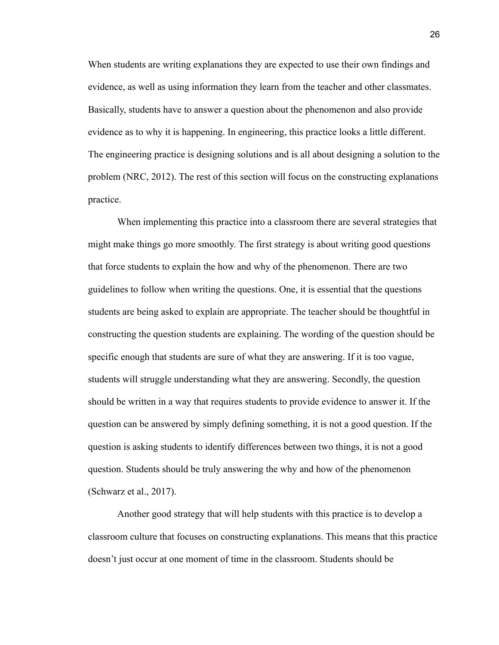When students are writing explanations they are expected to use their own findings and evidence, as well as using information they learn from the teacher and other classmates. Basically, students have to answer a question about the phenomenon and also provide evidence as to why it is happening. In engineering, this practice looks a little different. The engineering practice is designing solutions and is all about designing a solution to the problem (NRC, 2012). The rest of this section will focus on the constructing explanations practice.

When implementing this practice into a classroom there are several strategies that might make things go more smoothly. The first strategy is about writing good questions that force students to explain the how and why of the phenomenon. There are two guidelines to follow when writing the questions. One, it is essential that the questions students are being asked to explain are appropriate. The teacher should be thoughtful in constructing the question students are explaining. The wording of the question should be specific enough that students are sure of what they are answering. If it is too vague, students will struggle understanding what they are answering. Secondly, the question should be written in a way that requires students to provide evidence to answer it. If the question can be answered by simply defining something, it is not a good question. If the question is asking students to identify differences between two things, it is not a good question. Students should be truly answering the why and how of the phenomenon (Schwarz et al., 2017).

Another good strategy that will help students with this practice is to develop a classroom culture that focuses on constructing explanations. This means that this practice doesn't just occur at one moment of time in the classroom. Students should be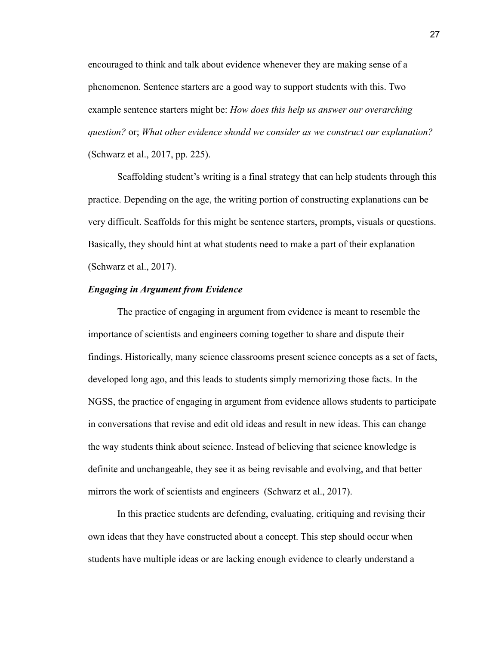encouraged to think and talk about evidence whenever they are making sense of a phenomenon. Sentence starters are a good way to support students with this. Two example sentence starters might be: *How does this help us answer our overarching question?* or; *What other evidence should we consider as we construct our explanation?* (Schwarz et al., 2017, pp. 225).

Scaffolding student's writing is a final strategy that can help students through this practice. Depending on the age, the writing portion of constructing explanations can be very difficult. Scaffolds for this might be sentence starters, prompts, visuals or questions. Basically, they should hint at what students need to make a part of their explanation (Schwarz et al., 2017).

#### *Engaging in Argument from Evidence*

The practice of engaging in argument from evidence is meant to resemble the importance of scientists and engineers coming together to share and dispute their findings. Historically, many science classrooms present science concepts as a set of facts, developed long ago, and this leads to students simply memorizing those facts. In the NGSS, the practice of engaging in argument from evidence allows students to participate in conversations that revise and edit old ideas and result in new ideas. This can change the way students think about science. Instead of believing that science knowledge is definite and unchangeable, they see it as being revisable and evolving, and that better mirrors the work of scientists and engineers (Schwarz et al., 2017).

In this practice students are defending, evaluating, critiquing and revising their own ideas that they have constructed about a concept. This step should occur when students have multiple ideas or are lacking enough evidence to clearly understand a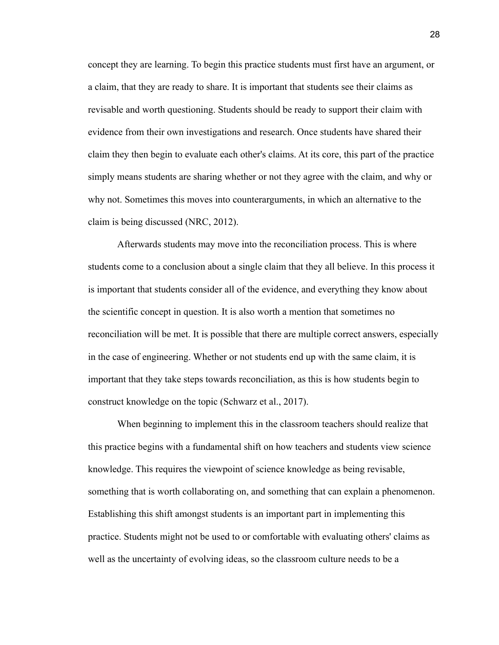concept they are learning. To begin this practice students must first have an argument, or a claim, that they are ready to share. It is important that students see their claims as revisable and worth questioning. Students should be ready to support their claim with evidence from their own investigations and research. Once students have shared their claim they then begin to evaluate each other's claims. At its core, this part of the practice simply means students are sharing whether or not they agree with the claim, and why or why not. Sometimes this moves into counterarguments, in which an alternative to the claim is being discussed (NRC, 2012).

Afterwards students may move into the reconciliation process. This is where students come to a conclusion about a single claim that they all believe. In this process it is important that students consider all of the evidence, and everything they know about the scientific concept in question. It is also worth a mention that sometimes no reconciliation will be met. It is possible that there are multiple correct answers, especially in the case of engineering. Whether or not students end up with the same claim, it is important that they take steps towards reconciliation, as this is how students begin to construct knowledge on the topic (Schwarz et al., 2017).

When beginning to implement this in the classroom teachers should realize that this practice begins with a fundamental shift on how teachers and students view science knowledge. This requires the viewpoint of science knowledge as being revisable, something that is worth collaborating on, and something that can explain a phenomenon. Establishing this shift amongst students is an important part in implementing this practice. Students might not be used to or comfortable with evaluating others' claims as well as the uncertainty of evolving ideas, so the classroom culture needs to be a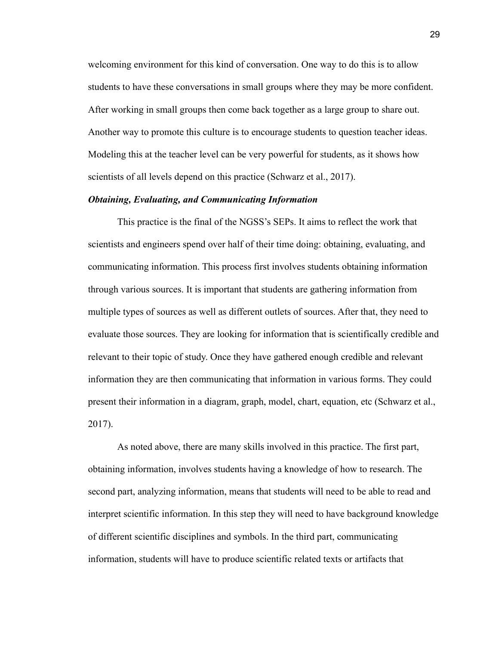welcoming environment for this kind of conversation. One way to do this is to allow students to have these conversations in small groups where they may be more confident. After working in small groups then come back together as a large group to share out. Another way to promote this culture is to encourage students to question teacher ideas. Modeling this at the teacher level can be very powerful for students, as it shows how scientists of all levels depend on this practice (Schwarz et al., 2017).

#### *Obtaining, Evaluating, and Communicating Information*

This practice is the final of the NGSS's SEPs. It aims to reflect the work that scientists and engineers spend over half of their time doing: obtaining, evaluating, and communicating information. This process first involves students obtaining information through various sources. It is important that students are gathering information from multiple types of sources as well as different outlets of sources. After that, they need to evaluate those sources. They are looking for information that is scientifically credible and relevant to their topic of study. Once they have gathered enough credible and relevant information they are then communicating that information in various forms. They could present their information in a diagram, graph, model, chart, equation, etc (Schwarz et al., 2017).

As noted above, there are many skills involved in this practice. The first part, obtaining information, involves students having a knowledge of how to research. The second part, analyzing information, means that students will need to be able to read and interpret scientific information. In this step they will need to have background knowledge of different scientific disciplines and symbols. In the third part, communicating information, students will have to produce scientific related texts or artifacts that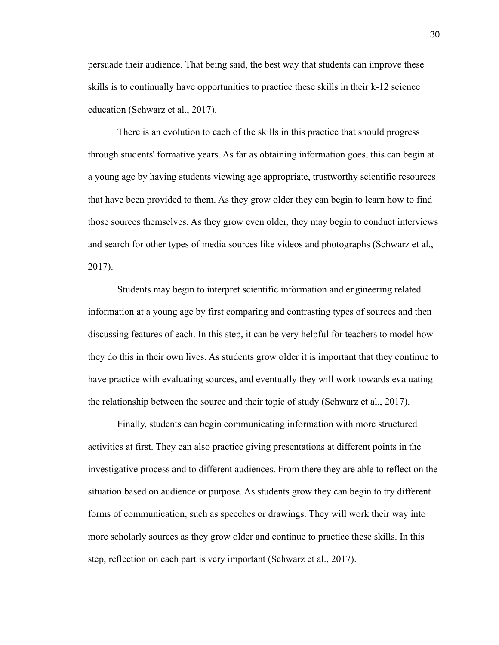persuade their audience. That being said, the best way that students can improve these skills is to continually have opportunities to practice these skills in their k-12 science education (Schwarz et al., 2017).

There is an evolution to each of the skills in this practice that should progress through students' formative years. As far as obtaining information goes, this can begin at a young age by having students viewing age appropriate, trustworthy scientific resources that have been provided to them. As they grow older they can begin to learn how to find those sources themselves. As they grow even older, they may begin to conduct interviews and search for other types of media sources like videos and photographs (Schwarz et al., 2017).

Students may begin to interpret scientific information and engineering related information at a young age by first comparing and contrasting types of sources and then discussing features of each. In this step, it can be very helpful for teachers to model how they do this in their own lives. As students grow older it is important that they continue to have practice with evaluating sources, and eventually they will work towards evaluating the relationship between the source and their topic of study (Schwarz et al., 2017).

Finally, students can begin communicating information with more structured activities at first. They can also practice giving presentations at different points in the investigative process and to different audiences. From there they are able to reflect on the situation based on audience or purpose. As students grow they can begin to try different forms of communication, such as speeches or drawings. They will work their way into more scholarly sources as they grow older and continue to practice these skills. In this step, reflection on each part is very important (Schwarz et al., 2017).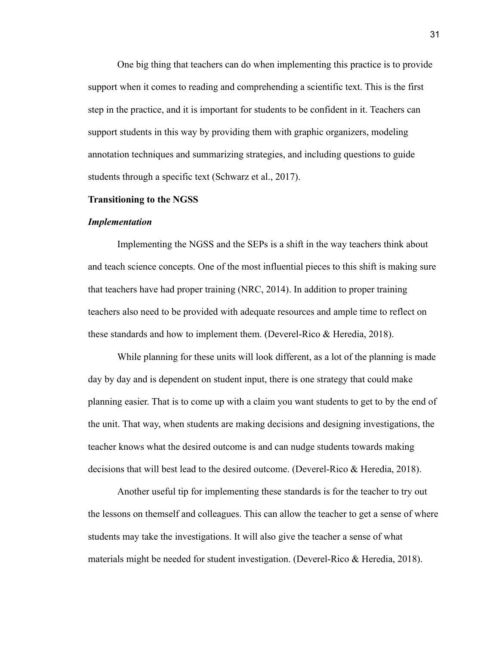One big thing that teachers can do when implementing this practice is to provide support when it comes to reading and comprehending a scientific text. This is the first step in the practice, and it is important for students to be confident in it. Teachers can support students in this way by providing them with graphic organizers, modeling annotation techniques and summarizing strategies, and including questions to guide students through a specific text (Schwarz et al., 2017).

#### **Transitioning to the NGSS**

#### *Implementation*

Implementing the NGSS and the SEPs is a shift in the way teachers think about and teach science concepts. One of the most influential pieces to this shift is making sure that teachers have had proper training (NRC, 2014). In addition to proper training teachers also need to be provided with adequate resources and ample time to reflect on these standards and how to implement them. (Deverel-Rico & Heredia, 2018).

While planning for these units will look different, as a lot of the planning is made day by day and is dependent on student input, there is one strategy that could make planning easier. That is to come up with a claim you want students to get to by the end of the unit. That way, when students are making decisions and designing investigations, the teacher knows what the desired outcome is and can nudge students towards making decisions that will best lead to the desired outcome. (Deverel-Rico & Heredia, 2018).

Another useful tip for implementing these standards is for the teacher to try out the lessons on themself and colleagues. This can allow the teacher to get a sense of where students may take the investigations. It will also give the teacher a sense of what materials might be needed for student investigation. (Deverel-Rico & Heredia, 2018).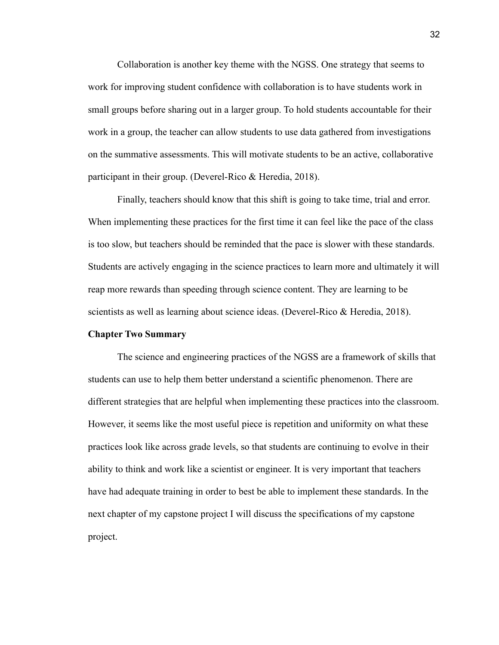Collaboration is another key theme with the NGSS. One strategy that seems to work for improving student confidence with collaboration is to have students work in small groups before sharing out in a larger group. To hold students accountable for their work in a group, the teacher can allow students to use data gathered from investigations on the summative assessments. This will motivate students to be an active, collaborative participant in their group. (Deverel-Rico & Heredia, 2018).

Finally, teachers should know that this shift is going to take time, trial and error. When implementing these practices for the first time it can feel like the pace of the class is too slow, but teachers should be reminded that the pace is slower with these standards. Students are actively engaging in the science practices to learn more and ultimately it will reap more rewards than speeding through science content. They are learning to be scientists as well as learning about science ideas. (Deverel-Rico & Heredia, 2018).

#### **Chapter Two Summary**

The science and engineering practices of the NGSS are a framework of skills that students can use to help them better understand a scientific phenomenon. There are different strategies that are helpful when implementing these practices into the classroom. However, it seems like the most useful piece is repetition and uniformity on what these practices look like across grade levels, so that students are continuing to evolve in their ability to think and work like a scientist or engineer. It is very important that teachers have had adequate training in order to best be able to implement these standards. In the next chapter of my capstone project I will discuss the specifications of my capstone project.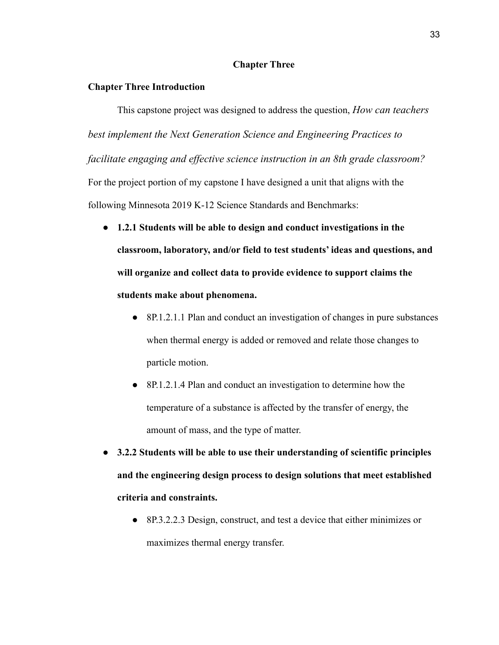#### **Chapter Three**

#### **Chapter Three Introduction**

This capstone project was designed to address the question, *How can teachers best implement the Next Generation Science and Engineering Practices to facilitate engaging and ef ective science instruction in an 8th grade classroom?* For the project portion of my capstone I have designed a unit that aligns with the following Minnesota 2019 K-12 Science Standards and Benchmarks:

- **● 1.2.1 Students will be able to design and conduct investigations in the classroom, laboratory, and/or field to test students' ideas and questions, and will organize and collect data to provide evidence to support claims the students make about phenomena.**
	- 8P.1.2.1.1 Plan and conduct an investigation of changes in pure substances when thermal energy is added or removed and relate those changes to particle motion.
	- 8P.1.2.1.4 Plan and conduct an investigation to determine how the temperature of a substance is affected by the transfer of energy, the amount of mass, and the type of matter.
- **● 3.2.2 Students will be able to use their understanding of scientific principles and the engineering design process to design solutions that meet established criteria and constraints.**
	- 8P.3.2.2.3 Design, construct, and test a device that either minimizes or maximizes thermal energy transfer.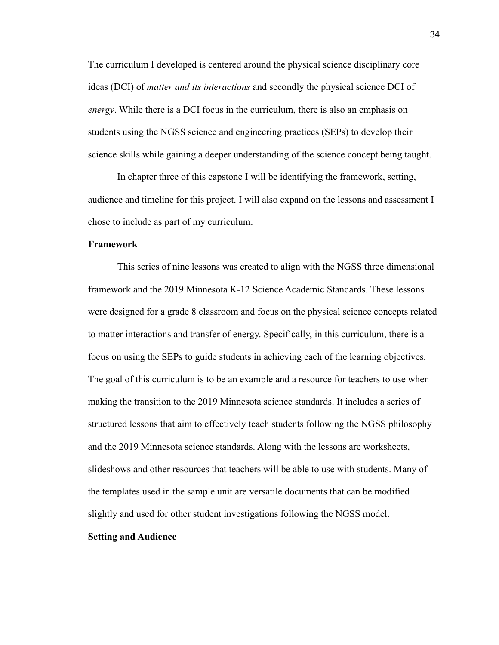The curriculum I developed is centered around the physical science disciplinary core ideas (DCI) of *matter and its interactions* and secondly the physical science DCI of *energy*. While there is a DCI focus in the curriculum, there is also an emphasis on students using the NGSS science and engineering practices (SEPs) to develop their science skills while gaining a deeper understanding of the science concept being taught.

In chapter three of this capstone I will be identifying the framework, setting, audience and timeline for this project. I will also expand on the lessons and assessment I chose to include as part of my curriculum.

#### **Framework**

This series of nine lessons was created to align with the NGSS three dimensional framework and the 2019 Minnesota K-12 Science Academic Standards. These lessons were designed for a grade 8 classroom and focus on the physical science concepts related to matter interactions and transfer of energy. Specifically, in this curriculum, there is a focus on using the SEPs to guide students in achieving each of the learning objectives. The goal of this curriculum is to be an example and a resource for teachers to use when making the transition to the 2019 Minnesota science standards. It includes a series of structured lessons that aim to effectively teach students following the NGSS philosophy and the 2019 Minnesota science standards. Along with the lessons are worksheets, slideshows and other resources that teachers will be able to use with students. Many of the templates used in the sample unit are versatile documents that can be modified slightly and used for other student investigations following the NGSS model.

#### **Setting and Audience**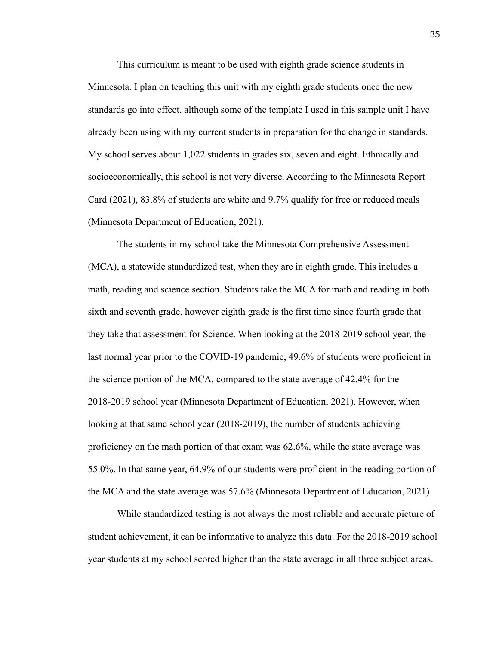This curriculum is meant to be used with eighth grade science students in Minnesota. I plan on teaching this unit with my eighth grade students once the new standards go into effect, although some of the template I used in this sample unit I have already been using with my current students in preparation for the change in standards. My school serves about 1,022 students in grades six, seven and eight. Ethnically and socioeconomically, this school is not very diverse. According to the Minnesota Report Card (2021), 83.8% of students are white and 9.7% qualify for free or reduced meals (Minnesota Department of Education, 2021).

The students in my school take the Minnesota Comprehensive Assessment (MCA), a statewide standardized test, when they are in eighth grade. This includes a math, reading and science section. Students take the MCA for math and reading in both sixth and seventh grade, however eighth grade is the first time since fourth grade that they take that assessment for Science. When looking at the 2018-2019 school year, the last normal year prior to the COVID-19 pandemic, 49.6% of students were proficient in the science portion of the MCA, compared to the state average of 42.4% for the 2018-2019 school year (Minnesota Department of Education, 2021). However, when looking at that same school year (2018-2019), the number of students achieving proficiency on the math portion of that exam was 62.6%, while the state average was 55.0%. In that same year, 64.9% of our students were proficient in the reading portion of the MCA and the state average was 57.6% (Minnesota Department of Education, 2021).

While standardized testing is not always the most reliable and accurate picture of student achievement, it can be informative to analyze this data. For the 2018-2019 school year students at my school scored higher than the state average in all three subject areas.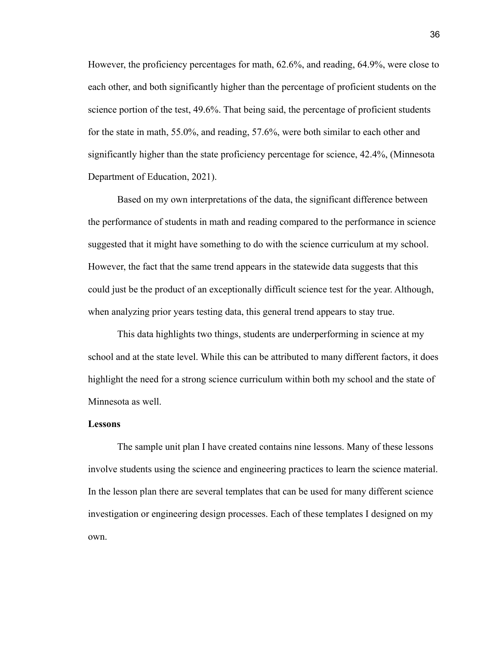However, the proficiency percentages for math, 62.6%, and reading, 64.9%, were close to each other, and both significantly higher than the percentage of proficient students on the science portion of the test, 49.6%. That being said, the percentage of proficient students for the state in math, 55.0%, and reading, 57.6%, were both similar to each other and significantly higher than the state proficiency percentage for science, 42.4%, (Minnesota Department of Education, 2021).

Based on my own interpretations of the data, the significant difference between the performance of students in math and reading compared to the performance in science suggested that it might have something to do with the science curriculum at my school. However, the fact that the same trend appears in the statewide data suggests that this could just be the product of an exceptionally difficult science test for the year. Although, when analyzing prior years testing data, this general trend appears to stay true.

This data highlights two things, students are underperforming in science at my school and at the state level. While this can be attributed to many different factors, it does highlight the need for a strong science curriculum within both my school and the state of Minnesota as well.

#### **Lessons**

The sample unit plan I have created contains nine lessons. Many of these lessons involve students using the science and engineering practices to learn the science material. In the lesson plan there are several templates that can be used for many different science investigation or engineering design processes. Each of these templates I designed on my own.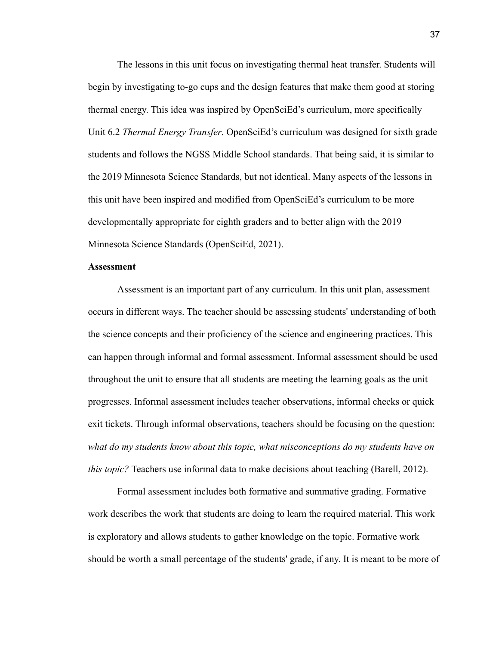The lessons in this unit focus on investigating thermal heat transfer. Students will begin by investigating to-go cups and the design features that make them good at storing thermal energy. This idea was inspired by OpenSciEd's curriculum, more specifically Unit 6.2 *Thermal Energy Transfer*. OpenSciEd's curriculum was designed for sixth grade students and follows the NGSS Middle School standards. That being said, it is similar to the 2019 Minnesota Science Standards, but not identical. Many aspects of the lessons in this unit have been inspired and modified from OpenSciEd's curriculum to be more developmentally appropriate for eighth graders and to better align with the 2019 Minnesota Science Standards (OpenSciEd, 2021).

#### **Assessment**

Assessment is an important part of any curriculum. In this unit plan, assessment occurs in different ways. The teacher should be assessing students' understanding of both the science concepts and their proficiency of the science and engineering practices. This can happen through informal and formal assessment. Informal assessment should be used throughout the unit to ensure that all students are meeting the learning goals as the unit progresses. Informal assessment includes teacher observations, informal checks or quick exit tickets. Through informal observations, teachers should be focusing on the question: *what do my students know about this topic, what misconceptions do my students have on this topic?* Teachers use informal data to make decisions about teaching (Barell, 2012).

Formal assessment includes both formative and summative grading. Formative work describes the work that students are doing to learn the required material. This work is exploratory and allows students to gather knowledge on the topic. Formative work should be worth a small percentage of the students' grade, if any. It is meant to be more of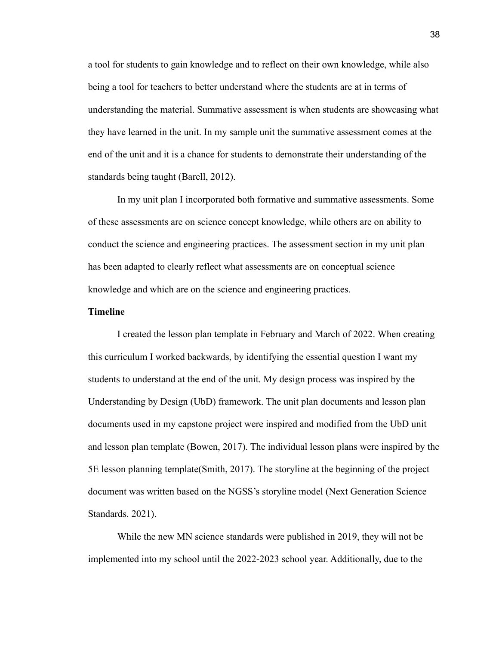a tool for students to gain knowledge and to reflect on their own knowledge, while also being a tool for teachers to better understand where the students are at in terms of understanding the material. Summative assessment is when students are showcasing what they have learned in the unit. In my sample unit the summative assessment comes at the end of the unit and it is a chance for students to demonstrate their understanding of the standards being taught (Barell, 2012).

In my unit plan I incorporated both formative and summative assessments. Some of these assessments are on science concept knowledge, while others are on ability to conduct the science and engineering practices. The assessment section in my unit plan has been adapted to clearly reflect what assessments are on conceptual science knowledge and which are on the science and engineering practices.

#### **Timeline**

I created the lesson plan template in February and March of 2022. When creating this curriculum I worked backwards, by identifying the essential question I want my students to understand at the end of the unit. My design process was inspired by the Understanding by Design (UbD) framework. The unit plan documents and lesson plan documents used in my capstone project were inspired and modified from the UbD unit and lesson plan template (Bowen, 2017). The individual lesson plans were inspired by the 5E lesson planning template(Smith, 2017). The storyline at the beginning of the project document was written based on the NGSS's storyline model (Next Generation Science Standards. 2021).

While the new MN science standards were published in 2019, they will not be implemented into my school until the 2022-2023 school year. Additionally, due to the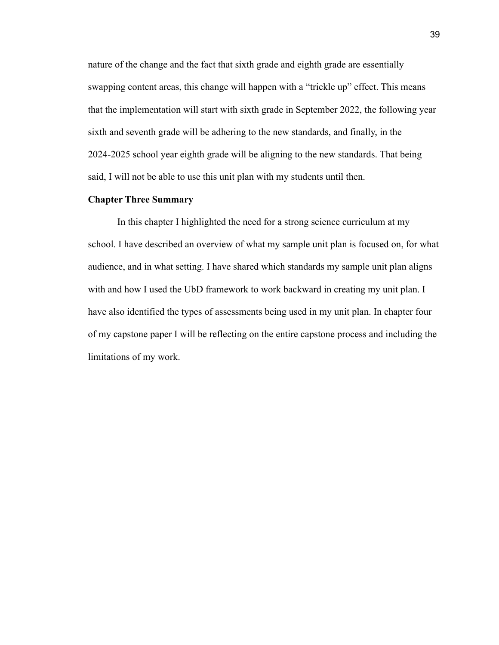nature of the change and the fact that sixth grade and eighth grade are essentially swapping content areas, this change will happen with a "trickle up" effect. This means that the implementation will start with sixth grade in September 2022, the following year sixth and seventh grade will be adhering to the new standards, and finally, in the 2024-2025 school year eighth grade will be aligning to the new standards. That being said, I will not be able to use this unit plan with my students until then.

#### **Chapter Three Summary**

In this chapter I highlighted the need for a strong science curriculum at my school. I have described an overview of what my sample unit plan is focused on, for what audience, and in what setting. I have shared which standards my sample unit plan aligns with and how I used the UbD framework to work backward in creating my unit plan. I have also identified the types of assessments being used in my unit plan. In chapter four of my capstone paper I will be reflecting on the entire capstone process and including the limitations of my work.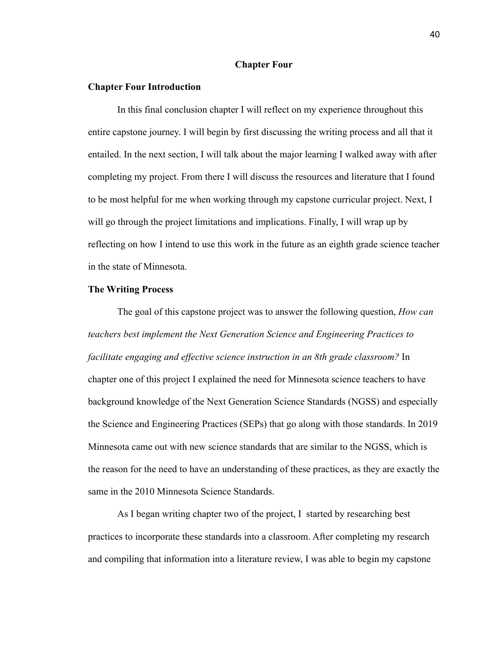#### **Chapter Four**

#### **Chapter Four Introduction**

In this final conclusion chapter I will reflect on my experience throughout this entire capstone journey. I will begin by first discussing the writing process and all that it entailed. In the next section, I will talk about the major learning I walked away with after completing my project. From there I will discuss the resources and literature that I found to be most helpful for me when working through my capstone curricular project. Next, I will go through the project limitations and implications. Finally, I will wrap up by reflecting on how I intend to use this work in the future as an eighth grade science teacher in the state of Minnesota.

#### **The Writing Process**

The goal of this capstone project was to answer the following question, *How can teachers best implement the Next Generation Science and Engineering Practices to facilitate engaging and effective science instruction in an 8th grade classroom?* In chapter one of this project I explained the need for Minnesota science teachers to have background knowledge of the Next Generation Science Standards (NGSS) and especially the Science and Engineering Practices (SEPs) that go along with those standards. In 2019 Minnesota came out with new science standards that are similar to the NGSS, which is the reason for the need to have an understanding of these practices, as they are exactly the same in the 2010 Minnesota Science Standards.

As I began writing chapter two of the project, I started by researching best practices to incorporate these standards into a classroom. After completing my research and compiling that information into a literature review, I was able to begin my capstone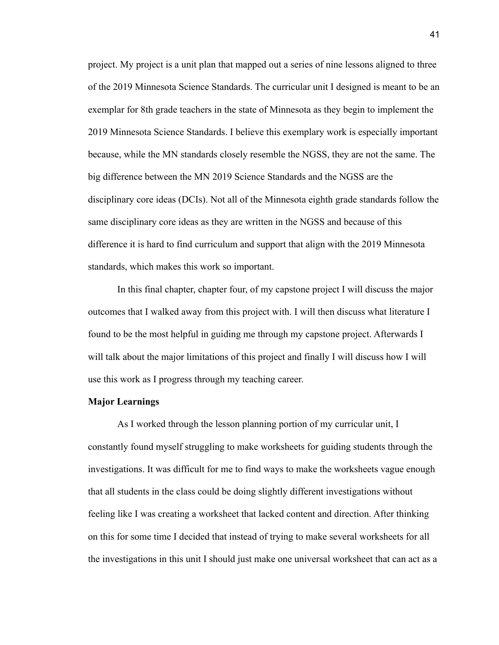project. My project is a unit plan that mapped out a series of nine lessons aligned to three of the 2019 Minnesota Science Standards. The curricular unit I designed is meant to be an exemplar for 8th grade teachers in the state of Minnesota as they begin to implement the 2019 Minnesota Science Standards. I believe this exemplary work is especially important because, while the MN standards closely resemble the NGSS, they are not the same. The big difference between the MN 2019 Science Standards and the NGSS are the disciplinary core ideas (DCIs). Not all of the Minnesota eighth grade standards follow the same disciplinary core ideas as they are written in the NGSS and because of this difference it is hard to find curriculum and support that align with the 2019 Minnesota standards, which makes this work so important.

In this final chapter, chapter four, of my capstone project I will discuss the major outcomes that I walked away from this project with. I will then discuss what literature I found to be the most helpful in guiding me through my capstone project. Afterwards I will talk about the major limitations of this project and finally I will discuss how I will use this work as I progress through my teaching career.

#### **Major Learnings**

As I worked through the lesson planning portion of my curricular unit, I constantly found myself struggling to make worksheets for guiding students through the investigations. It was difficult for me to find ways to make the worksheets vague enough that all students in the class could be doing slightly different investigations without feeling like I was creating a worksheet that lacked content and direction. After thinking on this for some time I decided that instead of trying to make several worksheets for all the investigations in this unit I should just make one universal worksheet that can act as a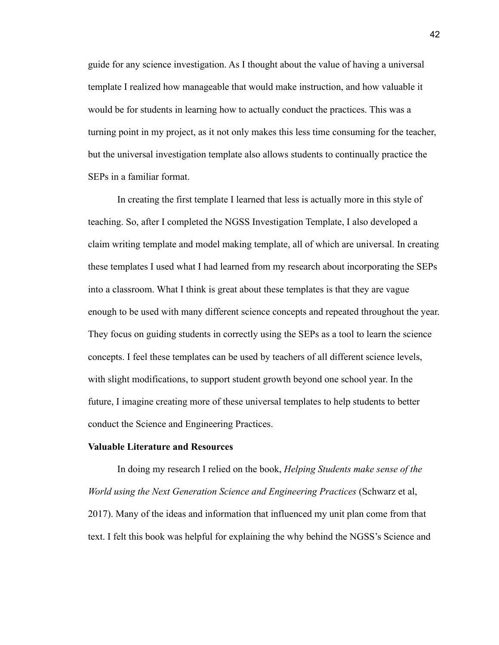guide for any science investigation. As I thought about the value of having a universal template I realized how manageable that would make instruction, and how valuable it would be for students in learning how to actually conduct the practices. This was a turning point in my project, as it not only makes this less time consuming for the teacher, but the universal investigation template also allows students to continually practice the SEPs in a familiar format.

In creating the first template I learned that less is actually more in this style of teaching. So, after I completed the NGSS Investigation Template, I also developed a claim writing template and model making template, all of which are universal. In creating these templates I used what I had learned from my research about incorporating the SEPs into a classroom. What I think is great about these templates is that they are vague enough to be used with many different science concepts and repeated throughout the year. They focus on guiding students in correctly using the SEPs as a tool to learn the science concepts. I feel these templates can be used by teachers of all different science levels, with slight modifications, to support student growth beyond one school year. In the future, I imagine creating more of these universal templates to help students to better conduct the Science and Engineering Practices.

#### **Valuable Literature and Resources**

In doing my research I relied on the book, *Helping Students make sense of the World using the Next Generation Science and Engineering Practices* (Schwarz et al, 2017). Many of the ideas and information that influenced my unit plan come from that text. I felt this book was helpful for explaining the why behind the NGSS's Science and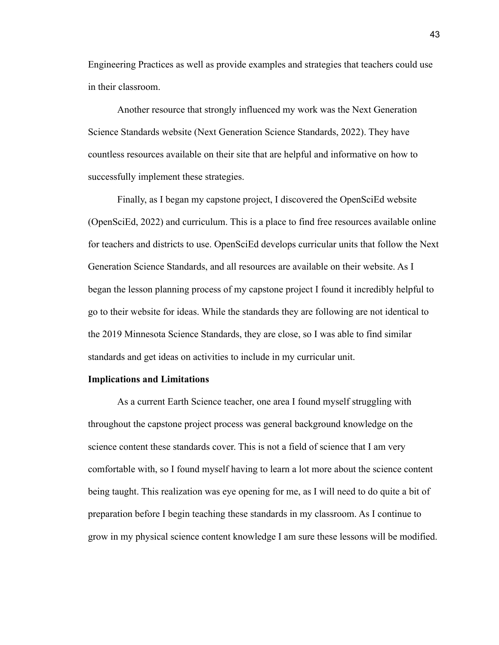Engineering Practices as well as provide examples and strategies that teachers could use in their classroom.

Another resource that strongly influenced my work was the Next Generation Science Standards website (Next Generation Science Standards, 2022). They have countless resources available on their site that are helpful and informative on how to successfully implement these strategies.

Finally, as I began my capstone project, I discovered the OpenSciEd website (OpenSciEd, 2022) and curriculum. This is a place to find free resources available online for teachers and districts to use. OpenSciEd develops curricular units that follow the Next Generation Science Standards, and all resources are available on their website. As I began the lesson planning process of my capstone project I found it incredibly helpful to go to their website for ideas. While the standards they are following are not identical to the 2019 Minnesota Science Standards, they are close, so I was able to find similar standards and get ideas on activities to include in my curricular unit.

#### **Implications and Limitations**

As a current Earth Science teacher, one area I found myself struggling with throughout the capstone project process was general background knowledge on the science content these standards cover. This is not a field of science that I am very comfortable with, so I found myself having to learn a lot more about the science content being taught. This realization was eye opening for me, as I will need to do quite a bit of preparation before I begin teaching these standards in my classroom. As I continue to grow in my physical science content knowledge I am sure these lessons will be modified.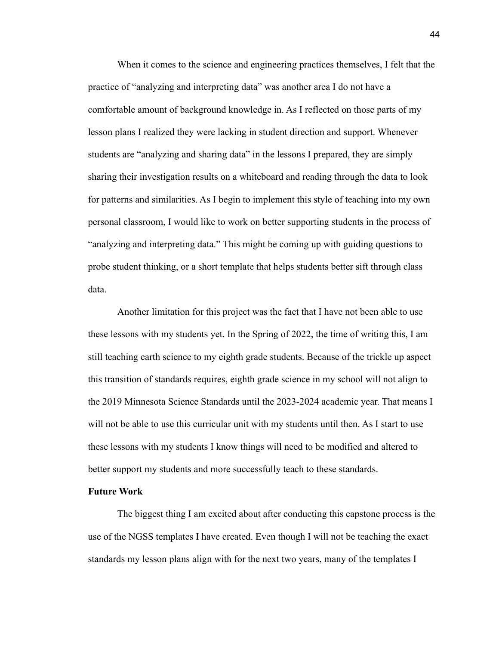When it comes to the science and engineering practices themselves, I felt that the practice of "analyzing and interpreting data" was another area I do not have a comfortable amount of background knowledge in. As I reflected on those parts of my lesson plans I realized they were lacking in student direction and support. Whenever students are "analyzing and sharing data" in the lessons I prepared, they are simply sharing their investigation results on a whiteboard and reading through the data to look for patterns and similarities. As I begin to implement this style of teaching into my own personal classroom, I would like to work on better supporting students in the process of "analyzing and interpreting data." This might be coming up with guiding questions to probe student thinking, or a short template that helps students better sift through class data.

Another limitation for this project was the fact that I have not been able to use these lessons with my students yet. In the Spring of 2022, the time of writing this, I am still teaching earth science to my eighth grade students. Because of the trickle up aspect this transition of standards requires, eighth grade science in my school will not align to the 2019 Minnesota Science Standards until the 2023-2024 academic year. That means I will not be able to use this curricular unit with my students until then. As I start to use these lessons with my students I know things will need to be modified and altered to better support my students and more successfully teach to these standards.

#### **Future Work**

The biggest thing I am excited about after conducting this capstone process is the use of the NGSS templates I have created. Even though I will not be teaching the exact standards my lesson plans align with for the next two years, many of the templates I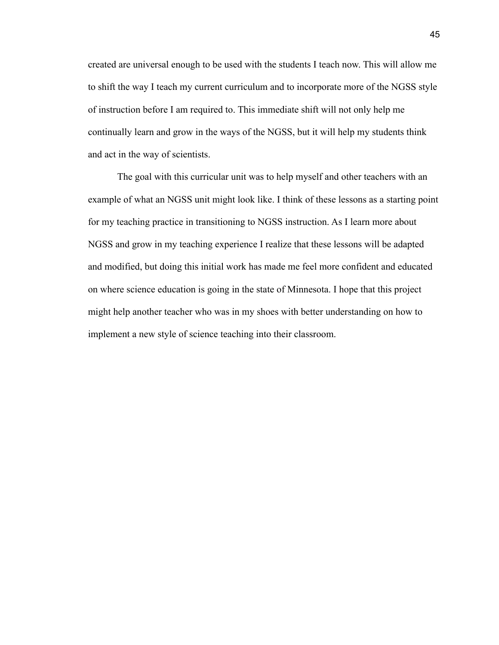created are universal enough to be used with the students I teach now. This will allow me to shift the way I teach my current curriculum and to incorporate more of the NGSS style of instruction before I am required to. This immediate shift will not only help me continually learn and grow in the ways of the NGSS, but it will help my students think and act in the way of scientists.

The goal with this curricular unit was to help myself and other teachers with an example of what an NGSS unit might look like. I think of these lessons as a starting point for my teaching practice in transitioning to NGSS instruction. As I learn more about NGSS and grow in my teaching experience I realize that these lessons will be adapted and modified, but doing this initial work has made me feel more confident and educated on where science education is going in the state of Minnesota. I hope that this project might help another teacher who was in my shoes with better understanding on how to implement a new style of science teaching into their classroom.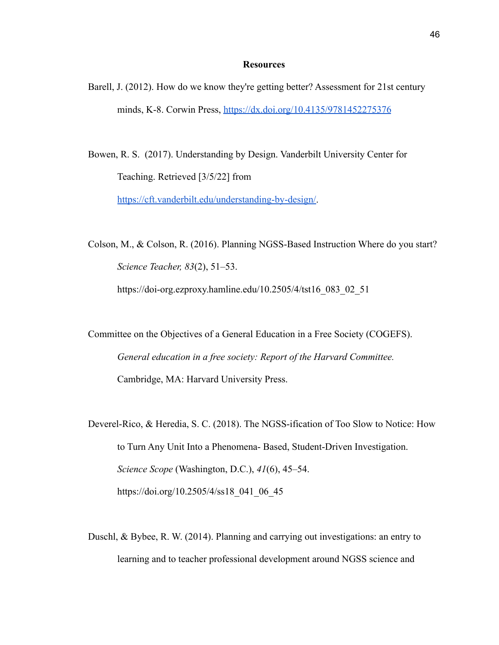#### **Resources**

Barell, J. (2012). How do we know they're getting better? Assessment for 21st century minds, K-8. Corwin Press, <https://dx.doi.org/10.4135/9781452275376>

Bowen, R. S. (2017). Understanding by Design. Vanderbilt University Center for Teaching. Retrieved [3/5/22] from [https://cft.vanderbilt.edu/understanding-by-design/.](https://cft.vanderbilt.edu/understanding-by-design/)

Colson, M., & Colson, R. (2016). Planning NGSS-Based Instruction Where do you start? *Science Teacher, 83*(2), 51–53.

https://doi-org.ezproxy.hamline.edu/10.2505/4/tst16\_083\_02\_51

Committee on the Objectives of a General Education in a Free Society (COGEFS). *General education in a free society: Report of the Harvard Committee.* Cambridge, MA: Harvard University Press.

Deverel-Rico, & Heredia, S. C. (2018). The NGSS-ification of Too Slow to Notice: How to Turn Any Unit Into a Phenomena- Based, Student-Driven Investigation. *Science Scope* (Washington, D.C.), *41*(6), 45–54. https://doi.org/10.2505/4/ss18\_041\_06\_45

Duschl, & Bybee, R. W. (2014). Planning and carrying out investigations: an entry to learning and to teacher professional development around NGSS science and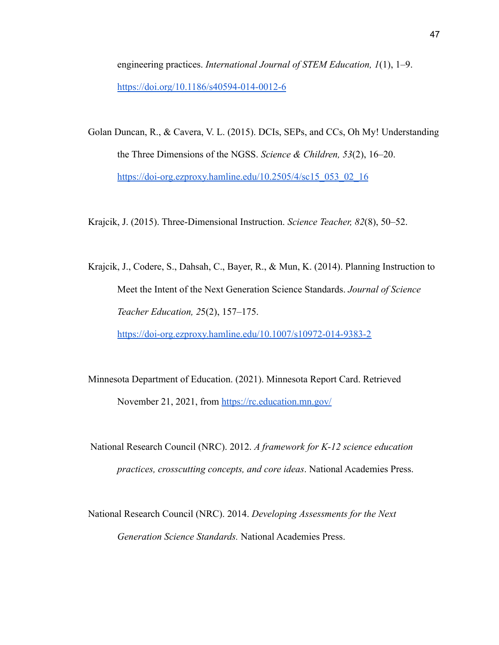engineering practices. *International Journal of STEM Education, 1*(1), 1–9. <https://doi.org/10.1186/s40594-014-0012-6>

Golan Duncan, R., & Cavera, V. L. (2015). DCIs, SEPs, and CCs, Oh My! Understanding the Three Dimensions of the NGSS. *Science & Children, 53*(2), 16–20. [https://doi-org.ezproxy.hamline.edu/10.2505/4/sc15\\_053\\_02\\_16](https://doi-org.ezproxy.hamline.edu/10.2505/4/sc15_053_02_16)

Krajcik, J. (2015). Three-Dimensional Instruction. *Science Teacher, 82*(8), 50–52.

- Krajcik, J., Codere, S., Dahsah, C., Bayer, R., & Mun, K. (2014). Planning Instruction to Meet the Intent of the Next Generation Science Standards. *Journal of Science Teacher Education, 2*5(2), 157–175. <https://doi-org.ezproxy.hamline.edu/10.1007/s10972-014-9383-2>
- Minnesota Department of Education. (2021). Minnesota Report Card. Retrieved November 21, 2021, from <https://rc.education.mn.gov/>
- National Research Council (NRC). 2012. *A framework for K-12 science education practices, crosscutting concepts, and core ideas*. National Academies Press.
- National Research Council (NRC). 2014. *Developing Assessments for the Next Generation Science Standards.* National Academies Press.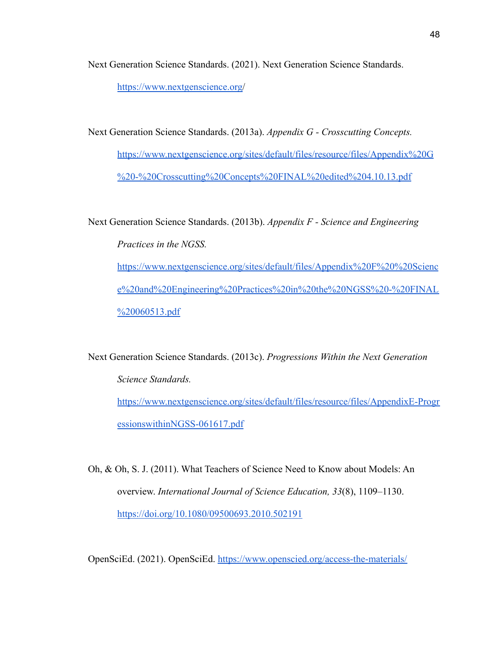Next Generation Science Standards. (2021). Next Generation Science Standards. <https://www.nextgenscience.org/>

Next Generation Science Standards. (2013a). *Appendix G - Crosscutting Concepts.* [https://www.nextgenscience.org/sites/default/files/resource/files/Appendix%20G](https://www.nextgenscience.org/sites/default/files/resource/files/Appendix%20G%20-%20Crosscutting%20Concepts%20FINAL%20edited%204.10.13.pdf) [%20-%20Crosscutting%20Concepts%20FINAL%20edited%204.10.13.pdf](https://www.nextgenscience.org/sites/default/files/resource/files/Appendix%20G%20-%20Crosscutting%20Concepts%20FINAL%20edited%204.10.13.pdf)

Next Generation Science Standards. (2013b). *Appendix F - Science and Engineering Practices in the NGSS.* [https://www.nextgenscience.org/sites/default/files/Appendix%20F%20%20Scienc](https://www.nextgenscience.org/sites/default/files/Appendix%20F%20%20Science%20and%20Engineering%20Practices%20in%20the%20NGSS%20-%20FINAL%20060513.pdf) [e%20and%20Engineering%20Practices%20in%20the%20NGSS%20-%20FINAL](https://www.nextgenscience.org/sites/default/files/Appendix%20F%20%20Science%20and%20Engineering%20Practices%20in%20the%20NGSS%20-%20FINAL%20060513.pdf) [%20060513.pdf](https://www.nextgenscience.org/sites/default/files/Appendix%20F%20%20Science%20and%20Engineering%20Practices%20in%20the%20NGSS%20-%20FINAL%20060513.pdf)

Next Generation Science Standards. (2013c). *Progressions Within the Next Generation Science Standards.* [https://www.nextgenscience.org/sites/default/files/resource/files/AppendixE-Progr](https://www.nextgenscience.org/sites/default/files/resource/files/AppendixE-ProgressionswithinNGSS-061617.pdf) [essionswithinNGSS-061617.pdf](https://www.nextgenscience.org/sites/default/files/resource/files/AppendixE-ProgressionswithinNGSS-061617.pdf)

Oh, & Oh, S. J. (2011). What Teachers of Science Need to Know about Models: An overview. *International Journal of Science Education, 33*(8), 1109–1130. <https://doi.org/10.1080/09500693.2010.502191>

OpenSciEd. (2021). OpenSciEd. <https://www.openscied.org/access-the-materials/>